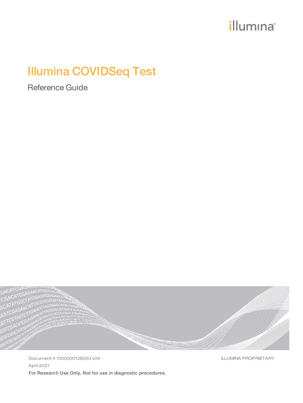# *illumina*<sup>®</sup>

# Illumina COVIDSeq Test

Reference Guide



Document # 1000000126053 v04 April 2021 For Research Use Only. Not for use in diagnostic procedures. ILLUMINA PROPRIETARY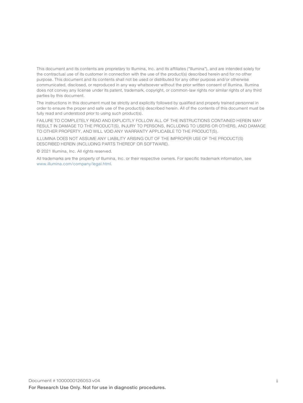This document and its contents are proprietary to Illumina, Inc. and its affiliates ("Illumina"), and are intended solely for the contractual use of its customer in connection with the use of the product(s) described herein and for no other purpose. This document and its contents shall not be used or distributed for any other purpose and/or otherwise communicated, disclosed, or reproduced in any way whatsoever without the prior written consent of Illumina. Illumina does not convey any license under its patent, trademark, copyright, or common-law rights nor similar rights of any third parties by this document.

The instructions in this document must be strictly and explicitly followed by qualified and properly trained personnel in order to ensure the proper and safe use of the product(s) described herein. All of the contents of this document must be fully read and understood prior to using such product(s).

FAILURE TO COMPLETELY READ AND EXPLICITLY FOLLOW ALL OF THE INSTRUCTIONS CONTAINED HEREIN MAY RESULT IN DAMAGE TO THE PRODUCT(S), INJURY TO PERSONS, INCLUDING TO USERS OR OTHERS, AND DAMAGE TO OTHER PROPERTY, AND WILL VOID ANY WARRANTY APPLICABLE TO THE PRODUCT(S).

ILLUMINA DOES NOT ASSUME ANY LIABILITY ARISING OUT OF THE IMPROPER USE OF THE PRODUCT(S) DESCRIBED HEREIN (INCLUDING PARTS THEREOF OR SOFTWARE).

© 2021 Illumina, Inc. All rights reserved.

All trademarks are the property of Illumina, Inc. or their respective owners. For specific trademark information, see [www.illumina.com/company/legal.html.](http://www.illumina.com/company/legal.html)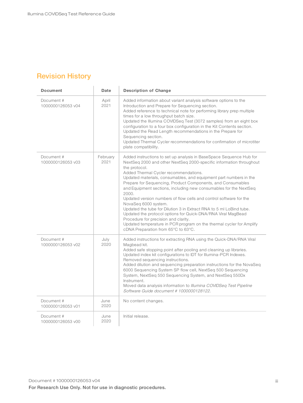# <span id="page-2-0"></span>Revision History

| <b>Document</b>                 | Date             | <b>Description of Change</b>                                                                                                                                                                                                                                                                                                                                                                                                                                                                                                                                                                                                                                                                                                                                                                                       |  |
|---------------------------------|------------------|--------------------------------------------------------------------------------------------------------------------------------------------------------------------------------------------------------------------------------------------------------------------------------------------------------------------------------------------------------------------------------------------------------------------------------------------------------------------------------------------------------------------------------------------------------------------------------------------------------------------------------------------------------------------------------------------------------------------------------------------------------------------------------------------------------------------|--|
| Document #<br>1000000126053 v04 | April<br>2021    | Added information about variant analysis software options to the<br>Introduction and Prepare for Sequencing section.<br>Added reference to technical note for performing library prep multiple<br>times for a low throughput batch size.<br>Updated the Illumina COVIDSeq Test (3072 samples) from an eight box<br>configuration to a four box configuration in the Kit Contents section.<br>Updated the Read Length recommendations in the Prepare for<br>Sequencing section.<br>Updated Thermal Cycler recommendations for confirmation of microtiter<br>plate compatibility.                                                                                                                                                                                                                                    |  |
| Document #<br>1000000126053 v03 | February<br>2021 | Added instructions to set up analysis in BaseSpace Sequence Hub for<br>NextSeq 2000 and other NextSeq 2000-specific information throughout<br>the protocol.<br>Added Thermal Cycler recommendations.<br>Updated materials, consumables, and equipment part numbers in the<br>Prepare for Sequencing, Product Components, and Consumables<br>and Equipment sections, including new consumables for the NextSeq<br>2000.<br>Updated version numbers of flow cells and control software for the<br>NovaSeg 6000 system.<br>Updated the tube for Dilution 3 in Extract RNA to 5 ml LoBind tube.<br>Updated the protocol options for Quick-DNA/RNA Viral MagBead<br>Procedure for precision and clarity.<br>Updated temperature in PCR program on the thermal cycler for Amplify<br>cDNA Preparation from 65°C to 63°C. |  |
| Document #<br>1000000126053 v02 | July<br>2020     | Added instructions for extracting RNA using the Quick-DNA/RNA Viral<br>Magbead kit.<br>Added safe stopping point after pooling and cleaning up libraries.<br>Updated index kit configurations to IDT for Illumina-PCR Indexes.<br>Removed sequencing instructions.<br>Added dilution and sequencing preparation instructions for the NovaSeq<br>6000 Sequencing System SP flow cell, NextSeq 500 Sequencing<br>System, NextSeq 550 Sequencing System, and NextSeq 550Dx<br>Instrument.<br>Moved data analysis information to Illumina COVIDSeq Test Pipeline<br>Software Guide document # 1000000128122.                                                                                                                                                                                                           |  |
| Document #<br>1000000126053 v01 | June<br>2020     | No content changes.                                                                                                                                                                                                                                                                                                                                                                                                                                                                                                                                                                                                                                                                                                                                                                                                |  |
| Document #<br>1000000126053 v00 | June<br>2020     | Initial release.                                                                                                                                                                                                                                                                                                                                                                                                                                                                                                                                                                                                                                                                                                                                                                                                   |  |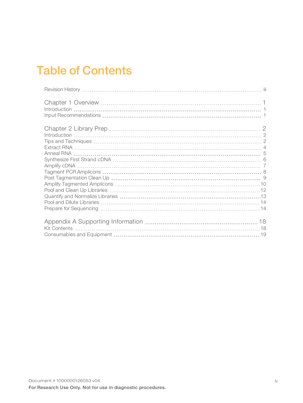# Table of Contents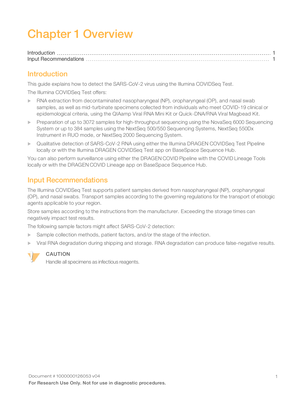# <span id="page-4-0"></span>Chapter 1 Overview

### <span id="page-4-1"></span>Introduction

This guide explains how to detect the SARS-CoV-2 virus using the Illumina COVIDSeq Test.

The Illumina COVIDSeq Test offers:

- $\triangleright$  RNA extraction from decontaminated nasopharyngeal (NP), oropharyngeal (OP), and nasal swab samples, as well as mid-turbinate specimens collected from individuals who meet COVID-19 clinical or epidemological criteria, using the QIAamp Viral RNA Mini Kit or Quick-DNA/RNA Viral Magbead Kit.
- Preparation of up to 3072 samples for high-throughput sequencing using the NovaSeq 6000 Sequencing System or up to 384 samples using the NextSeq 500/550 Sequencing Systems, NextSeq 550Dx Instrument in RUO mode, or NextSeq 2000 Sequencing System.
- ▶ Qualitative detection of SARS-CoV-2 RNA using either the Illumina DRAGEN COVIDSeg Test Pipeline locally or with the Illumina DRAGEN COVIDSeq Test app on BaseSpace Sequence Hub.

You can also perform surveillance using either the DRAGEN COVID Pipeline with the COVID Lineage Tools locally or with the DRAGEN COVID Lineage app on BaseSpace Sequence Hub.

## <span id="page-4-2"></span>Input Recommendations

The Illumina COVIDSeq Test supports patient samples derived from nasopharyngeal (NP), oropharyngeal (OP), and nasal swabs. Transport samples according to the governing regulations for the transport of etiologic agents applicable to your region.

Store samples according to the instructions from the manufacturer. Exceeding the storage times can negatively impact test results.

The following sample factors might affect SARS-CoV-2 detection:

- Sample collection methods, patient factors, and/or the stage of the infection.
- Viral RNA degradation during shipping and storage. RNA degradation can produce false-negative results.



#### CAUTION

Handle all specimens as infectious reagents.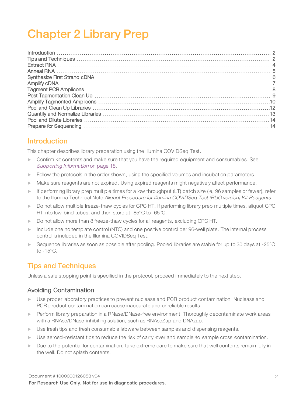# <span id="page-5-0"></span>Chapter 2 Library Prep

## <span id="page-5-1"></span>Introduction

This chapter describes library preparation using the Illumina COVIDSeq Test.

- $\triangleright$  Confirm kit contents and make sure that you have the required equipment and consumables. See Supporting Information [on page 18.](#page-21-0)
- Follow the protocols in the order shown, using the specified volumes and incubation parameters.
- $\blacktriangleright$  Make sure reagents are not expired. Using expired reagents might negatively affect performance.
- $\blacktriangleright$  If performing library prep multiple times for a low throughput (LT) batch size (ie, 96 samples or fewer), refer to the Illumina Technical Note Aliquot Procedure for Illumina COVIDSeq Test (RUO version) Kit Reagents.
- Do not allow multiple freeze-thaw cycles for CPC HT. If performing library prep multiple times, aliquot CPC HT into low-bind tubes, and then store at -85°C to -65°C.
- Do not allow more than 8 freeze-thaw cycles for all reagents, excluding CPC HT.
- Include one no template control (NTC) and one positive control per 96-well plate. The internal process control is included in the Illumina COVIDSeq Test.
- $\triangleright$  Sequence libraries as soon as possible after pooling. Pooled libraries are stable for up to 30 days at -25 $^{\circ}$ C to -15°C.

## <span id="page-5-2"></span>Tips and Techniques

Unless a safe stopping point is specified in the protocol, proceed immediately to the next step.

#### Avoiding Contamination

- ▶ Use proper laboratory practices to prevent nuclease and PCR product contamination. Nuclease and PCR product contamination can cause inaccurate and unreliable results.
- **EXECT** Perform library preparation in a RNase/DNase-free environment. Thoroughly decontaminate work areas with a RNAse/DNase-inhibiting solution, such as RNAseZap and DNAzap.
- $\triangleright$  Use fresh tips and fresh consumable labware between samples and dispensing reagents.
- ▶ Use aerosol-resistant tips to reduce the risk of carry over and sample to sample cross contamination.
- Due to the potential for contamination, take extreme care to make sure that well contents remain fully in the well. Do not splash contents.

Document # 1000000126053 v04 For Research Use Only. Not for use in diagnostic procedures.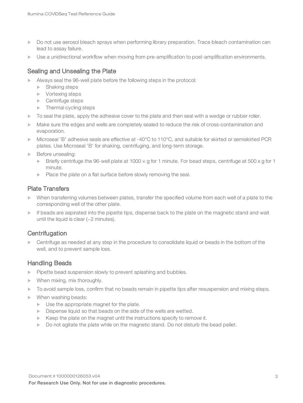- Do not use aerosol bleach sprays when performing library preparation. Trace bleach contamination can lead to assay failure.
- $\triangleright$  Use a unidirectional workflow when moving from pre-amplification to post-amplification environments.

#### Sealing and Unsealing the Plate

- $\blacktriangleright$  Always seal the 96-well plate before the following steps in the protocol:
	- $\blacktriangleright$  Shaking steps
	- $\blacktriangleright$  Vortexing steps
	- $\blacktriangleright$  Centrifuge steps
	- $\blacktriangleright$  Thermal cycling steps
- $\triangleright$  To seal the plate, apply the adhesive cover to the plate and then seal with a wedge or rubber roller.
- Make sure the edges and wells are completely sealed to reduce the risk of cross-contamination and evaporation.
- $\blacktriangleright$  Microseal 'B' adhesive seals are effective at -40°C to 110°C, and suitable for skirted or semiskirted PCR plates. Use Microseal 'B' for shaking, centrifuging, and long-term storage.
- Before unsealing:
	- $\triangleright$  Briefly centrifuge the 96-well plate at 1000  $\times$  g for 1 minute. For bead steps, centrifuge at 500  $\times$  g for 1 minute.
	- $\blacktriangleright$  Place the plate on a flat surface before slowly removing the seal.

#### Plate Transfers

- When transferring volumes between plates, transfer the specified volume from each well of a plate to the corresponding well of the other plate.
- $\blacktriangleright$  If beads are aspirated into the pipette tips, dispense back to the plate on the magnetic stand and wait until the liquid is clear (~2 minutes).

### **Centrifugation**

 $\triangleright$  Centrifuge as needed at any step in the procedure to consolidate liquid or beads in the bottom of the well, and to prevent sample loss.

#### Handling Beads

- $\blacktriangleright$  Pipette bead suspension slowly to prevent splashing and bubbles.
- $\blacktriangleright$  When mixing, mix thoroughly.
- $\triangleright$  To avoid sample loss, confirm that no beads remain in pipette tips after resuspension and mixing steps.
- $\blacktriangleright$  When washing beads:
	- $\triangleright$  Use the appropriate magnet for the plate.
	- $\triangleright$  Dispense liquid so that beads on the side of the wells are wetted.
	- $\blacktriangleright$  Keep the plate on the magnet until the instructions specify to remove it.
	- $\triangleright$  Do not agitate the plate while on the magnetic stand. Do not disturb the bead pellet.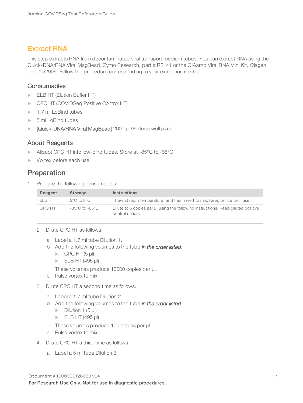## <span id="page-7-0"></span>Extract RNA

This step extracts RNA from decontaminated viral transport medium tubes. You can extract RNA using the Quick-DNA/RNA Viral MagBead, Zymo Research, part # R2141 or the QIAamp Viral RNA Mini Kit, Qiagen, part # 52906. Follow the procedure corresponding to your extraction method.

#### **Consumables**

- ELB HT (Elution Buffer HT)
- **DECATE:** COVIDSeq Positive Control HT)
- $\blacktriangleright$  1.7 ml LoBind tubes
- $\triangleright$  5 ml LoBind tubes
- ▶ [Quick-DNA/RNA Viral MagBead] 2000 µl 96 deep well plate

#### About Reagents

- ▶ Aliquot CPC HT into low-bind tubes. Store at -85°C to -65°C
- $\triangleright$  Vortex before each use

## Preparation

1 Prepare the following consumables:

| Reagent | <b>Storage</b>                     | <b>Instructions</b>                                                                                  |
|---------|------------------------------------|------------------------------------------------------------------------------------------------------|
| FI B HT | 2°C to 8°C                         | Thaw at room temperature, and then invert to mix. Keep on ice until use.                             |
| CPC HT  | $-85^{\circ}$ C to $-65^{\circ}$ C | Dilute to 5 copies per ul using the following instructions. Keep diluted positive<br>control on ice. |

- 2 Dilute CPC HT as follows.
	- a Label a 1.7 ml tube Dilution 1.
	- b Add the following volumes to the tube in the order listed.
		- $\triangleright$  CPC HT (5 µl)
		- $\blacktriangleright$  ELB HT (495 µl)

These volumes produce 10000 copies per µl.

- c Pulse vortex to mix.
- 3 Dilute CPC HT a second time as follows.
	- a Label a 1.7 ml tube Dilution 2.
	- b Add the following volumes to the tube in the order listed.
		- $\triangleright$  Dilution 1 (5 µl)
		- $\blacktriangleright$  ELB HT (495 µl)

These volumes produce 100 copies per µl.

- c Pulse vortex to mix.
- 4 Dilute CPC HT a third time as follows.
	- a Label a 5 ml tube Dilution 3.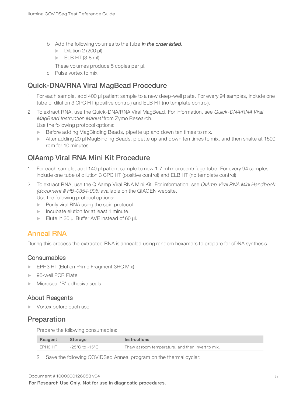- b Add the following volumes to the tube in the order listed.
	- $\triangleright$  Dilution 2 (200 µl)
	- $\blacktriangleright$  ELB HT (3.8 ml)
	- These volumes produce 5 copies per µl.
- c Pulse vortex to mix.

## Quick-DNA/RNA Viral MagBead Procedure

- 1 For each sample, add 400 µl patient sample to a new deep-well plate. For every 94 samples, include one tube of dilution 3 CPC HT (positive control) and ELB HT (no template control).
- 2 To extract RNA, use the Quick-DNA/RNA Viral MagBead. For information, see Quick-DNA/RNA Viral MagBead Instruction Manual from Zymo Research. Use the following protocol options:
	- **EXECT:** Before adding MagBinding Beads, pipette up and down ten times to mix.
	- ► After adding 20 µl MagBinding Beads, pipette up and down ten times to mix, and then shake at 1500 rpm for 10 minutes.

## QIAamp Viral RNA Mini Kit Procedure

- 1 For each sample, add 140 µl patient sample to new 1.7 ml microcentrifuge tube. For every 94 samples, include one tube of dilution 3 CPC HT (positive control) and ELB HT (no template control).
- 2 To extract RNA, use the QIAamp Viral RNA Mini Kit. For information, see QIAmp Viral RNA Mini Handbook (document # HB-0354-006) available on the QIAGEN website. Use the following protocol options:
	- $\blacktriangleright$  Purify viral RNA using the spin protocol.
	- $\blacktriangleright$  Incubate elution for at least 1 minute.
	- Elute in 30  $\mu$ I Buffer AVE instead of 60  $\mu$ I.

## <span id="page-8-0"></span>Anneal RNA

During this process the extracted RNA is annealed using random hexamers to prepare for cDNA synthesis.

#### **Consumables**

- EPH3 HT (Elution Prime Fragment 3HC Mix)
- 96-well PCR Plate
- Microseal 'B' adhesive seals

#### About Reagents

 $\triangleright$  Vortex before each use

## Preparation

1 Prepare the following consumables:

| Reagent | <b>Storage</b> | <b>Instructions</b>                               |
|---------|----------------|---------------------------------------------------|
| EPH3 HT | -25°C to -15°C | Thaw at room temperature, and then invert to mix. |

2 Save the following COVIDSeq Anneal program on the thermal cycler: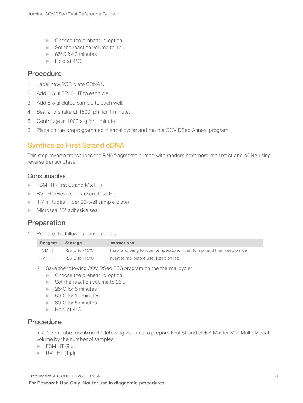- $\blacktriangleright$  Choose the preheat lid option
- $\blacktriangleright$  Set the reaction volume to 17 µl
- $\blacktriangleright$  65°C for 3 minutes
- $\blacktriangleright$  Hold at 4 $^{\circ}$ C

## **Procedure**

- 1 Label new PCR plate CDNA1.
- 2 Add 8.5 µl EPH3 HT to each well.
- 3 Add 8.5 µl eluted sample to each well.
- 4 Seal and shake at 1600 rpm for 1 minute.
- 5 Centrifuge at  $1000 \times g$  for 1 minute.
- <span id="page-9-0"></span>6 Place on the preprogrammed thermal cycler and run the COVIDSeq Anneal program.

## Synthesize First Strand cDNA

This step reverse transcribes the RNA fragments primed with random hexamers into first strand cDNA using reverse transcriptase.

#### **Consumables**

- **FSM HT (First Strand Mix HT)**
- **NORTHT (Reverse Transcriptase HT)**
- $\blacktriangleright$  1.7 ml tubes (1 per 96-well sample plate)
- $\blacktriangleright$  Microseal 'B' adhesive seal

## Preparation

1 Prepare the following consumables:

| Reagent | Storage        | <b>Instructions</b>                                                      |
|---------|----------------|--------------------------------------------------------------------------|
| FSM HT  | -25°C to -15°C | Thaw and bring to room temperature. Invert to mix, and then keep on ice. |
| RVT HT  | -25°C to -15°C | Invert to mix before use. Keep on ice.                                   |

- 2 Save the following COVIDSeq FSS program on the thermal cycler:
	- $\blacktriangleright$  Choose the preheat lid option
	- $\blacktriangleright$  Set the reaction volume to 25 µl
	- $\blacktriangleright$  25°C for 5 minutes
	- $\blacktriangleright$  50°C for 10 minutes
	- $\blacktriangleright$  80°C for 5 minutes
	- $\blacktriangleright$  Hold at 4 $^{\circ}$ C

## Procedure

- 1 In a 1.7 ml tube, combine the following volumes to prepare First Strand cDNA Master Mix. Multiply each volume by the number of samples.
	- $\triangleright$  FSM HT (9 µl)
	- $\triangleright$  RVT HT (1 µl)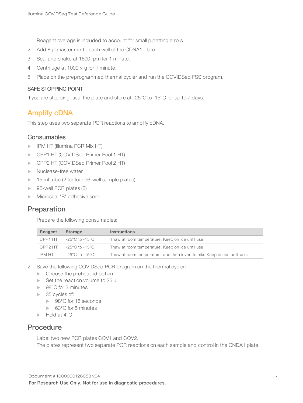Reagent overage is included to account for small pipetting errors.

- 2 Add 8 µl master mix to each well of the CDNA1 plate.
- 3 Seal and shake at 1600 rpm for 1 minute.
- 4 Centrifuge at 1000 × g for 1 minute.
- 5 Place on the preprogrammed thermal cycler and run the COVIDSeq FSS program.

#### SAFE STOPPING POINT

<span id="page-10-0"></span>If you are stopping, seal the plate and store at -25°C to -15°C for up to 7 days.

#### Amplify cDNA

This step uses two separate PCR reactions to amplify cDNA.

#### **Consumables**

- **IFM HT (Illumina PCR Mix HT)**
- **DECAPTE:** COVIDSeq Primer Pool 1 HT)
- **DE CPP2 HT (COVIDSeq Primer Pool 2 HT)**
- $\blacktriangleright$  Nuclease-free water
- $\triangleright$  15 ml tube (2 for four 96-well sample plates)
- $\triangleright$  96-well PCR plates (3)
- $\triangleright$  Microseal 'B' adhesive seal

### Preparation

1 Prepare the following consumables:

| Reagent | <b>Storage</b>                    | <b>Instructions</b>                                                      |
|---------|-----------------------------------|--------------------------------------------------------------------------|
|         | CPP1 HT $-25^{\circ}$ C to -15°C  | Thaw at room temperature. Keep on ice until use.                         |
|         | CPP2 HT $-25^{\circ}$ C to -15 °C | Thaw at room temperature. Keep on ice until use.                         |
| IPM HT  | -25°C to -15°C                    | Thaw at room temperature, and then invert to mix. Keep on ice until use. |

- 2 Save the following COVIDSeq PCR program on the thermal cycler:
	- $\blacktriangleright$  Choose the preheat lid option
	- $\blacktriangleright$  Set the reaction volume to 25 µ
	- $\blacktriangleright$  98°C for 3 minutes
	- $\triangleright$  35 cycles of:
		- ▶ 98°C for 15 seconds
		- $\blacktriangleright$  63°C for 5 minutes
	- $\blacktriangleright$  Hold at 4°C

#### Procedure

1 Label two new PCR plates COV1 and COV2. The plates represent two separate PCR reactions on each sample and control in the CNDA1 plate.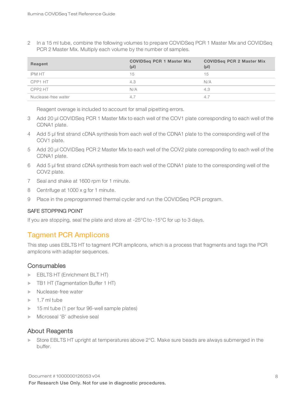2 In a 15 ml tube, combine the following volumes to prepare COVIDSeq PCR 1 Master Mix and COVIDSeq PCR 2 Master Mix. Multiply each volume by the number of samples.

| Reagent             | <b>COVIDSeq PCR 1 Master Mix</b><br>$(\mu I)$ | <b>COVIDSeq PCR 2 Master Mix</b><br>$(\mu I)$ |
|---------------------|-----------------------------------------------|-----------------------------------------------|
| IPM HT              | 15                                            | 15                                            |
| CPP1 HT             | 4.3                                           | N/A                                           |
| CPP2 HT             | N/A                                           | 4.3                                           |
| Nuclease-free water | 4.7                                           | 4.7                                           |

Reagent overage is included to account for small pipetting errors.

- 3 Add 20 µl COVIDSeq PCR 1 Master Mix to each well of the COV1 plate corresponding to each well of the CDNA1 plate.
- 4 Add 5 µl first strand cDNA synthesis from each well of the CDNA1 plate to the corresponding well of the COV1 plate.
- 5 Add 20 µl COVIDSeq PCR 2 Master Mix to each well of the COV2 plate corresponding to each well of the CDNA1 plate.
- 6 Add 5 µl first strand cDNA synthesis from each well of the CDNA1 plate to the corresponding well of the COV2 plate.
- 7 Seal and shake at 1600 rpm for 1 minute.
- 8 Centrifuge at 1000 x g for 1 minute.
- 9 Place in the preprogrammed thermal cycler and run the COVIDSeq PCR program.

#### SAFE STOPPING POINT

<span id="page-11-0"></span>If you are stopping, seal the plate and store at -25°C to -15°C for up to 3 days.

## Tagment PCR Amplicons

This step uses EBLTS HT to tagment PCR amplicons, which is a process that fragments and tags the PCR amplicons with adapter sequences.

#### **Consumables**

- **EBLTS HT (Enrichment BLT HT)**
- **TB1 HT (Tagmentation Buffer 1 HT)**
- Nuclease-free water
- $\blacktriangleright$  1.7 ml tube
- $\blacktriangleright$  15 ml tube (1 per four 96-well sample plates)
- Microseal 'B' adhesive seal

#### About Reagents

Store EBLTS HT upright at temperatures above  $2^{\circ}$ C. Make sure beads are always submerged in the buffer.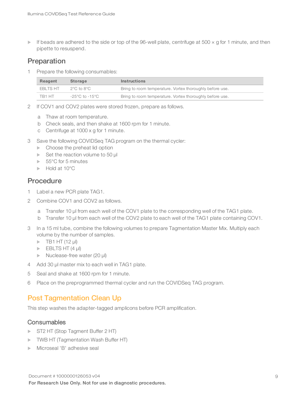If beads are adhered to the side or top of the 96-well plate, centrifuge at 500  $\times$  g for 1 minute, and then pipette to resuspend.

## Preparation

1 Prepare the following consumables:

| Reagent   | <b>Storage</b>  | <b>Instructions</b>                                      |
|-----------|-----------------|----------------------------------------------------------|
| FBI TS HT | 2°C to 8°C.     | Bring to room temperature. Vortex thoroughly before use. |
| TB1 HT    | -25°C to -15°C. | Bring to room temperature. Vortex thoroughly before use. |

- 2 If COV1 and COV2 plates were stored frozen, prepare as follows.
	- a Thaw at room temperature.
	- b Check seals, and then shake at 1600 rpm for 1 minute.
	- c Centrifuge at 1000 x g for 1 minute.
- 3 Save the following COVIDSeq TAG program on the thermal cycler:
	- $\blacktriangleright$  Choose the preheat lid option
	- $\blacktriangleright$  Set the reaction volume to 50 µl
	- $\blacktriangleright$  55°C for 5 minutes
	- $\blacktriangleright$  Hold at 10 $^{\circ}$ C

### Procedure

- 1 Label a new PCR plate TAG1.
- 2 Combine COV1 and COV2 as follows.
	- a Transfer 10 µl from each well of the COV1 plate to the corresponding well of the TAG1 plate.
	- b Transfer 10 µl from each well of the COV2 plate to each well of the TAG1 plate containing COV1.
- 3 In a 15 ml tube, combine the following volumes to prepare Tagmentation Master Mix. Multiply each volume by the number of samples.
	- $\triangleright$  TB1 HT (12 µl)
	- $\blacktriangleright$  EBLTS HT (4 µl)
	- $\triangleright$  Nuclease-free water (20 µl)
- 4 Add 30 µl master mix to each well in TAG1 plate.
- 5 Seal and shake at 1600 rpm for 1 minute.
- <span id="page-12-0"></span>6 Place on the preprogrammed thermal cycler and run the COVIDSeq TAG program.

## Post Tagmentation Clean Up

This step washes the adapter-tagged amplicons before PCR amplification.

#### **Consumables**

- ST2 HT (Stop Tagment Buffer 2 HT)
- TWB HT (Tagmentation Wash Buffer HT)
- Microseal 'B' adhesive seal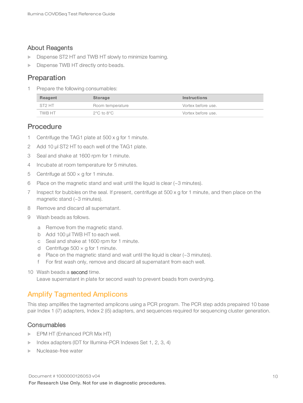#### About Reagents

- Dispense ST2 HT and TWB HT slowly to minimize foaming.
- **Dispense TWB HT directly onto beads.**

## Preparation

1 Prepare the following consumables:

| Reagent | Storage          | <b>Instructions</b> |
|---------|------------------|---------------------|
| ST2 HT  | Room temperature | Vortex before use.  |
| TWB HT  | 2°C to 8°C       | Vortex before use.  |

### **Procedure**

- 1 Centrifuge the TAG1 plate at 500 x g for 1 minute.
- 2 Add 10 µl ST2 HT to each well of the TAG1 plate.
- 3 Seal and shake at 1600 rpm for 1 minute.
- 4 Incubate at room temperature for 5 minutes.
- 5 Centrifuge at  $500 \times g$  for 1 minute.
- 6 Place on the magnetic stand and wait until the liquid is clear (~3 minutes).
- 7 Inspect for bubbles on the seal. If present, centrifuge at 500 x g for 1 minute, and then place on the magnetic stand (~3 minutes).
- 8 Remove and discard all supernatant.
- 9 Wash beads as follows.
	- a Remove from the magnetic stand.
	- b Add 100 µl TWB HT to each well.
	- c Seal and shake at 1600 rpm for 1 minute.
	- d Centrifuge  $500 \times g$  for 1 minute.
	- e Place on the magnetic stand and wait until the liquid is clear (~3 minutes).
	- f For first wash only, remove and discard all supernatant from each well.
- 10 Wash beads a second time.

<span id="page-13-0"></span>Leave supernatant in plate for second wash to prevent beads from overdrying.

### Amplify Tagmented Amplicons

This step amplifies the tagmented amplicons using a PCR program. The PCR step adds prepaired 10 base pair Index 1 (i7) adapters, Index 2 (i5) adapters, and sequences required for sequencing cluster generation.

#### **Consumables**

- **EPM HT (Enhanced PCR Mix HT)**
- $\blacktriangleright$  Index adapters (IDT for Illumina-PCR Indexes Set 1, 2, 3, 4)
- Nuclease-free water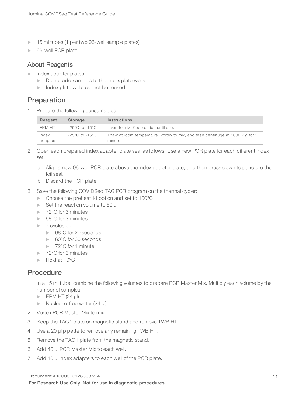- 15 ml tubes (1 per two 96-well sample plates)
- ▶ 96-well PCR plate

#### About Reagents

- $\blacktriangleright$  Index adapter plates
	- $\triangleright$  Do not add samples to the index plate wells.
	- $\blacktriangleright$  Index plate wells cannot be reused.

## Preparation

1 Prepare the following consumables:

| Reagent           | <b>Storage</b> | <b>Instructions</b>                                                                              |
|-------------------|----------------|--------------------------------------------------------------------------------------------------|
| EPM HT            | -25°C to -15°C | Invert to mix. Keep on ice until use.                                                            |
| Index<br>adapters | -25°C to -15°C | Thaw at room temperature. Vortex to mix, and then centrifuge at 1000 $\times$ q for 1<br>minute. |

- 2 Open each prepared index adapter plate seal as follows. Use a new PCR plate for each different index set.
	- a Align a new 96-well PCR plate above the index adapter plate, and then press down to puncture the foil seal.
	- b Discard the PCR plate.
- 3 Save the following COVIDSeq TAG PCR program on the thermal cycler:
	- $\blacktriangleright$  Choose the preheat lid option and set to 100 $^{\circ}$ C
	- $\blacktriangleright$  Set the reaction volume to 50 µ
	- $\blacktriangleright$  72°C for 3 minutes
	- $\blacktriangleright$  98°C for 3 minutes
	- $\triangleright$  7 cycles of:
		- ▶ 98°C for 20 seconds
		- $\triangleright$  60°C for 30 seconds
		- $\blacktriangleright$  72°C for 1 minute
	- ▶ 72°C for 3 minutes
	- $\blacktriangleright$  Hold at 10 $^{\circ}$ C

### **Procedure**

- 1 In a 15 ml tube, combine the following volumes to prepare PCR Master Mix. Multiply each volume by the number of samples.
	- $\blacktriangleright$  EPM HT (24 µl)
	- $\triangleright$  Nuclease-free water (24 µl)
- 2 Vortex PCR Master Mix to mix.
- 3 Keep the TAG1 plate on magnetic stand and remove TWB HT.
- 4 Use a 20 µl pipette to remove any remaining TWB HT.
- 5 Remove the TAG1 plate from the magnetic stand.
- 6 Add 40 µl PCR Master Mix to each well.
- 7 Add 10 µl index adapters to each well of the PCR plate.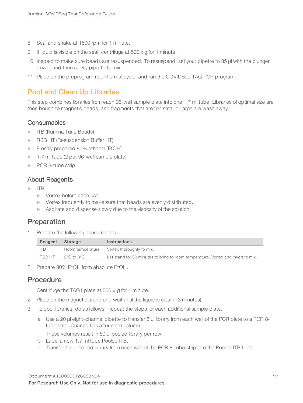- 8 Seal and shake at 1600 rpm for 1 minute.
- 9 If liquid is visible on the seal, centrifuge at 500 x g for 1 minute.
- 10 Inspect to make sure beads are resuspended. To resuspend, set your pipette to 35 µl with the plunger down, and then slowly pipette to mix.
- <span id="page-15-0"></span>11 Place on the preprogrammed thermal cycler and run the COVIDSeq TAG PCR program.

## Pool and Clean Up Libraries

This step combines libraries from each 96-well sample plate into one 1.7 ml tube. Libraries of optimal size are then bound to magnetic beads, and fragments that are too small or large are wash away.

#### **Consumables**

- **IFB** (Illumina Tune Beads)
- RSB HT (Resuspension Buffer HT)
- Freshly prepared 80% ethanol (EtOH)
- 1.7 ml tube (2 per 96-well sample plate)
- $\blacktriangleright$  PCR 8-tube strip

#### About Reagents

- u ITB
	- $\blacktriangleright$  Vortex before each use.
	- $\triangleright$  Vortex frequently to make sure that beads are evenly distributed.
	- $\blacktriangleright$  Aspirate and dispense slowly due to the viscosity of the solution.

## Preparation

1 Prepare the following consumables:

| Reagent    | Storage              | <b>Instructions</b>                                                              |
|------------|----------------------|----------------------------------------------------------------------------------|
| <b>ITB</b> |                      | Room temperature Vortex thoroughly to mix.                                       |
| RSB HT     | $2^{\circ}$ C to 8°C | Let stand for 30 minutes to bring to room temperature. Vortex and invert to mix. |

2 Prepare 80% EtOH from absolute EtOH.

### Procedure

- 1 Centrifuge the TAG1 plate at  $500 \times g$  for 1 minute.
- 2 Place on the magnetic stand and wait until the liquid is clear (~3 minutes).
- 3 To pool libraries, do as follows. Repeat the steps for each additional sample plate.
	- a Use a 20 µl eight-channel pipette to transfer 5 μl library from each well of the PCR plate to a PCR 8 tube strip. Change tips after each column.

These volumes result in 60 µl pooled library per row.

- b Label a new 1.7 ml tube Pooled ITB.
- c Transfer 55 µl pooled library from each well of the PCR 8-tube strip into the Pooled ITB tube.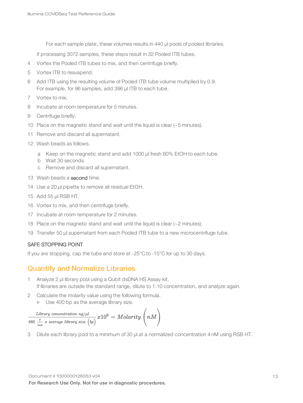For each sample plate, these volumes results in 440 µl pools of pooled libraries.

If processing 3072 samples, these steps result in 32 Pooled ITB tubes.

- 4 Vortex the Pooled ITB tubes to mix, and then centrifuge briefly.
- 5 Vortex ITB to resuspend.
- 6 Add ITB using the resulting volume of Pooled ITB tube volume multiplied by 0.9. For example, for 96 samples, add 396 µl ITB to each tube.
- 7 Vortex to mix.
- 8 Incubate at room temperature for 5 minutes.
- 9 Centrifuge briefly.
- 10 Place on the magnetic stand and wait until the liquid is clear (~5 minutes).
- 11 Remove and discard all supernatant.
- 12 Wash beads as follows.
	- a Keep on the magnetic stand and add 1000 µl fresh 80% EtOH to each tube.
	- b Wait 30 seconds.
	- c Remove and discard all supernatant.
- 13 Wash beads a second time.
- 14 Use a 20 µl pipette to remove all residual EtOH.
- 15 Add 55 µl RSB HT.
- 16 Vortex to mix, and then centrifuge briefly.
- 17 Incubate at room temperature for 2 minutes.
- 18 Place on the magnetic stand and wait until the liquid is clear (~2 minutes).
- 19 Transfer 50 µl supernatant from each Pooled ITB tube to a new microcentrifuge tube.

#### SAFE STOPPING POINT

<span id="page-16-0"></span>If you are stopping, cap the tube and store at -25°C to -15°C for up to 30 days.

## Quantify and Normalize Libraries

- 1 Analyze 2 µl library pool using a Qubit dsDNA HS Assay kit. If libraries are outside the standard range, dilute to 1:10 concentration, and analyze again.
- 2 Calculate the molarity value using the following formula.
	- $\triangleright$  Use 400 bp as the average library size.

$$
\frac{Library\;concentration\; ng/\mu l}{\frac{g}{mol}\;x\;average\;library\; size\; (bp)} x10^6 = \textit{Molarity}\;\bigg(nM\bigg)
$$

3 Dilute each library pool to a minimum of 30 µl at a normalized concentration 4 nM using RSB HT.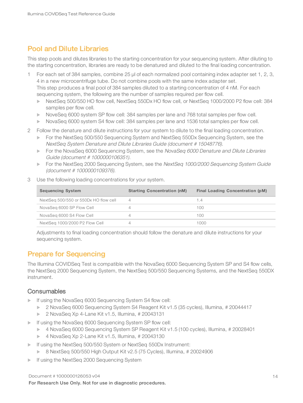## <span id="page-17-0"></span>Pool and Dilute Libraries

This step pools and dilutes libraries to the starting concentration for your sequencing system. After diluting to the starting concentration, libraries are ready to be denatured and diluted to the final loading concentration.

1 For each set of 384 samples, combine 25 µl of each normalized pool containing index adapter set 1, 2, 3, 4 in a new microcentrifuge tube. Do not combine pools with the same index adapter set. This step produces a final pool of 384 samples diluted to a starting concentration of 4 nM. For each sequencing system, the following are the number of samples required per flow cell.

- ▶ NextSeq 500/550 HO flow cell, NextSeq 550Dx HO flow cell, or NextSeq 1000/2000 P2 flow cell: 384 samples per flow cell.
- NoveSeq 6000 system SP flow cell: 384 samples per lane and 768 total samples per flow cell.
- NovaSeq 6000 system S4 flow cell: 384 samples per lane and 1536 total samples per flow cell.
- 2 Follow the denature and dilute instructions for your system to dilute to the final loading concentration.
	- ► For the NextSeq 500/550 Sequencing System and NextSeq 550Dx Sequencing System, see the NextSeq System Denature and Dilute Libraries Guide (document # 15048776).
	- For the NovaSeq 6000 Sequencing System, see the NovaSeq 6000 Denature and Dilute Libraries Guide (document # 1000000106351).
	- For the NextSeq 2000 Sequencing System, see the NextSeq 1000/2000 Sequencing System Guide (document # 1000000109376).
- 3 Use the following loading concentrations for your system.

| <b>Sequencing System</b>              | <b>Starting Concentration (nM)</b> | Final Loading Concentration (pM) |
|---------------------------------------|------------------------------------|----------------------------------|
| NextSeq 500/550 or 550Dx HO flow cell |                                    | 1.4                              |
| NovaSeg 6000 SP Flow Cell             |                                    | 100                              |
| NovaSeg 6000 S4 Flow Cell             |                                    | 100                              |
| NextSeg 1000/2000 P2 Flow Cell        |                                    | 1000                             |

Adjustments to final loading concentration should follow the denature and dilute instructions for your sequencing system.

## <span id="page-17-1"></span>Prepare for Sequencing

The Illumina COVIDSeq Test is compatible with the NovaSeq 6000 Sequencing System SP and S4 flow cells, the NextSeq 2000 Sequencing System, the NextSeq 500/550 Sequencing Systems, and the NextSeq 550DX instrument.

#### **Consumables**

- **If using the NovaSeq 6000 Sequencing System S4 flow cell:** 
	- $\triangleright$  2 NovaSeq 6000 Sequencing System S4 Reagent Kit v1.5 (35 cycles), Illumina, # 20044417
	- $\triangleright$  2 NovaSeq Xp 4-Lane Kit v1.5, Illumina, # 20043131
- If using the NovaSeq 6000 Sequencing System SP flow cell:
	- ▶ 4 NovaSeq 6000 Sequencing System SP Reagent Kit v1.5 (100 cycles), Illumina, # 20028401
	- $\blacktriangleright$  4 NovaSeq Xp 2-Lane Kit v1.5, Illumina, # 20043130
- If using the NextSeq 500/550 System or NextSeq 550Dx Instrument:
	- $\triangleright$  8 NextSeq 500/550 High Output Kit v2.5 (75 Cycles), Illumina, # 20024906
- If using the NextSeq 2000 Sequencing System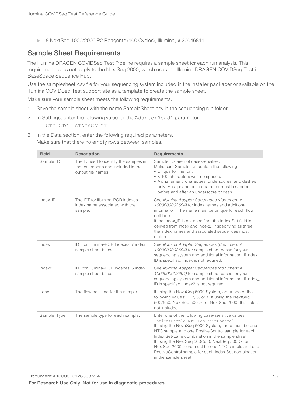▶ 8 NextSeq 1000/2000 P2 Reagents (100 Cycles), Illumina, # 20046811

## Sample Sheet Requirements

The Illumina DRAGEN COVIDSeq Test Pipeline requires a sample sheet for each run analysis. This requirement does not apply to the NextSeq 2000, which uses the Illumina DRAGEN COVIDSeq Test in BaseSpace Sequence Hub.

Use the samplesheet.csv file for your sequencing system included in the installer packager or available on the Illumina COVIDSeq Test support site as a template to create the sample sheet.

Make sure your sample sheet meets the following requirements.

- 1 Save the sample sheet with the name SampleSheet.csv in the sequencing run folder.
- 2 In Settings, enter the following value for the AdapterRead1 parameter. CTGTCTCTTATACACATCT
- 3 In the Data section, enter the following required parameters. Make sure that there no empty rows between samples.

| <b>Field</b> | <b>Description</b>                                                                                   | <b>Requirements</b>                                                                                                                                                                                                                                                                                                                                                                                                                             |
|--------------|------------------------------------------------------------------------------------------------------|-------------------------------------------------------------------------------------------------------------------------------------------------------------------------------------------------------------------------------------------------------------------------------------------------------------------------------------------------------------------------------------------------------------------------------------------------|
| Sample_ID    | The ID used to identify the samples in<br>the test reports and included in the<br>output file names. | Sample IDs are not case-sensitive.<br>Make sure Sample IDs contain the following:<br>• Unique for the run.<br>$\bullet \leq 100$ characters with no spaces.<br>• Alphanumeric characters, underscores, and dashes<br>only. An alphanumeric character must be added<br>before and after an underscore or dash.                                                                                                                                   |
| Index ID     | The IDT for Illumina-PCR Indexes<br>index name associated with the<br>sample.                        | See Illumina Adapter Sequences (document #<br>1000000002694) for index names and additional<br>information. The name must be unique for each flow<br>cell lane.<br>If the Index_ID is not specified, the Index Set field is<br>derived from Index and Index2. If specifying all three,<br>the index names and associated sequences must<br>match.                                                                                               |
| Index        | IDT for Illumina-PCR Indexes i7 index<br>sample sheet bases                                          | See Illumina Adapter Sequences (document #<br>1000000002694) for sample sheet bases for your<br>sequencing system and additional information. If Index_<br>ID is specified, Index is not required.                                                                                                                                                                                                                                              |
| Index2       | IDT for Illumina-PCR Indexes i5 index<br>sample sheet bases.                                         | See Illumina Adapter Sequences (document #<br>1000000002694) for sample sheet bases for your<br>sequencing system and additional information. If Index_<br>ID is specified, Index2 is not required.                                                                                                                                                                                                                                             |
| Lane         | The flow cell lane for the sample.                                                                   | If using the NovaSeq 6000 System, enter one of the<br>following values: 1, 2, 3, or 4. If using the NextSeq<br>500/550, NextSeq 500Dx, or NextSeq 2000, this field is<br>not included.                                                                                                                                                                                                                                                          |
| Sample_Type  | The sample type for each sample.                                                                     | Enter one of the following case-sensitive values:<br>PatientSample, NTC, PositiveControl.<br>If using the NovaSeq 6000 System, there must be one<br>NTC sample and one PostiveControl sample for each<br>Index Set/Lane combination in the sample sheet.<br>If using the NextSeq 500/550, NextSeq 500Dx, or<br>NextSeq 2000 there must be one NTC sample and one<br>PostiveControl sample for each Index Set combination<br>in the sample sheet |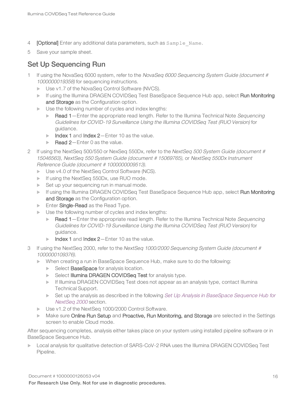- 4 **[Optional]** Enter any additional data parameters, such as Sample Name.
- 5 Save your sample sheet.

## Set Up Sequencing Run

- 1 If using the NovaSeq 6000 system, refer to the NovaSeq 6000 Sequencing System Guide (document # 1000000019358) for sequencing instructions.
	- ▶ Use v1.7 of the NovaSeq Control Software (NVCS).
	- If using the Illumina DRAGEN COVIDSeq Test BaseSpace Sequence Hub app, select Run Monitoring and Storage as the Configuration option.
	- $\blacktriangleright$  Use the following number of cycles and index lengths:
		- Read 1—Enter the appropriate read length. Refer to the Illumina Technical Note Sequencing Guidelines for COVID-19 Surveillance Using the Illumina COVIDSeq Test (RUO Version) for guidance.
		- $\blacktriangleright$  Index 1 and Index 2—Enter 10 as the value.
		- $\blacktriangleright$  Read 2-Enter 0 as the value.
- 2 If using the NextSeq 500/550 or NexSeq 550Dx, refer to the NextSeq 500 System Guide (document # 15046563), NextSeq <sup>550</sup> System Guide (document # 15069765), or NextSeq 550Dx Instrument Reference Guide (document # 1000000009513).
	- $\triangleright$  Use v4.0 of the NextSeq Control Software (NCS).
	- $\blacktriangleright$  If using the NextSeq 550Dx, use RUO mode.
	- $\blacktriangleright$  Set up your sequencing run in manual mode.
	- If using the Illumina DRAGEN COVIDSeq Test BaseSpace Sequence Hub app, select Run Monitoring and Storage as the Configuration option.
	- **Enter Single-Read** as the Read Type.
	- $\blacktriangleright$  Use the following number of cycles and index lengths:
		- Read  $1$  Enter the appropriate read length. Refer to the Illumina Technical Note Sequencing Guidelines for COVID-19 Surveillance Using the Illumina COVIDSeq Test (RUO Version) for guidance.
		- $\blacktriangleright$  Index 1 and Index 2—Enter 10 as the value.
- 3 If using the NextSeq 2000, refer to the NextSeq 1000/2000 Sequencing System Guide (document # 1000000109376).
	- $\triangleright$  When creating a run in BaseSpace Sequence Hub, make sure to do the following:
		- Select BaseSpace for analysis location.
		- **EXECTE III SERVIET III III SERVIET AT A SET AT A SET AT A SET A SET A SET A SET A SET A SET A SET A SET A SET A SET A SET A SET A SET A SET A SET A SET A SET A SET A SET A SET A SET A SET A SET A SET A SET A SET A SET A S**
		- $\blacktriangleright$  If Illumina DRAGEN COVIDSeq Test does not appear as an analysis type, contact Illumina Technical Support.
		- Set up the analysis as described in the following Set Up Analysis in BaseSpace Sequence Hub for NextSeq <sup>2000</sup> section.
	- ▶ Use v1.2 of the NextSeq 1000/2000 Control Software.
	- Make sure Online Run Setup and Proactive, Run Monitoring, and Storage are selected in the Settings screen to enable Cloud mode.

After sequencing completes, analysis either takes place on your system using installed pipeline software or in BaseSpace Sequence Hub.

**Local analysis for qualitative detection of SARS-CoV-2 RNA uses the Illumina DRAGEN COVIDSeq Test** Pipeline.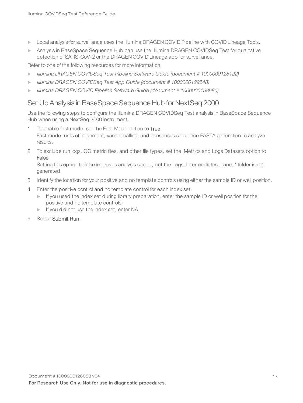- Local analysis for surveillance uses the Illumina DRAGEN COVID Pipeline with COVID Lineage Tools.
- **Analysis in BaseSpace Sequence Hub can use the Illumina DRAGEN COVIDSeq Test for qualitative** detection of SARS-CoV-2 or the DRAGEN COVID Lineage app for surveillance.

Refer to one of the following resources for more information.

- Illumina DRAGEN COVIDSeq Test Pipeline Software Guide (document # 1000000128122)
- Illumina DRAGEN COVIDSeq Test App Guide (document # 1000000129548)
- Illumina DRAGEN COVID Pipeline Software Guide (document # 1000000158680)

## Set Up Analysis in BaseSpace Sequence Hub for NextSeq 2000

Use the following steps to configure the Illumina DRAGEN COVIDSeq Test analysis in BaseSpace Sequence Hub when using a NextSeq 2000 instrument.

- To enable fast mode, set the Fast Mode option to True. Fast mode turns off alignment, variant calling, and consensus sequence FASTA generation to analyze results.
- 2 To exclude run logs, QC metric files, and other file types, set the Metrics and Logs Datasets option to False.

Setting this option to false improves analysis speed, but the Logs\_Intermediates\_Lane\_\* folder is not generated.

- 3 Identify the location for your positive and no template controls using either the sample ID or well position.
- 4 Enter the positive control and no template control for each index set.
	- $\blacktriangleright$  If you used the index set during library preparation, enter the sample ID or well position for the positive and no template controls.
	- If you did not use the index set, enter NA.
- 5 Select Submit Run.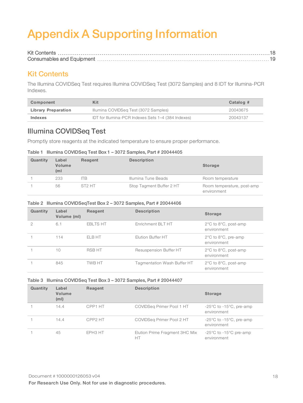# <span id="page-21-0"></span>Appendix A Supporting Information

## <span id="page-21-1"></span>Kit Contents

The Illumina COVIDSeq Test requires Illumina COVIDSeq Test (3072 Samples) and 8 IDT for Illumina-PCR Indexes.

| Component           | Kit                                                 | Catalog # |
|---------------------|-----------------------------------------------------|-----------|
| Library Preparation | Illumina COVIDSeg Test (3072 Samples)               | 20043675  |
| Indexes             | IDT for Illumina-PCR Indexes Sets 1-4 (384 Indexes) | 20043137  |

## Illumina COVIDSeq Test

Promptly store reagents at the indicated temperature to ensure proper performance.

#### Table 1 Illumina COVIDSeq Test Box 1 – 3072 Samples, Part # 20044405

| Quantity | Label<br>Volume<br>(ml | Reagent            | <b>Description</b>       | <b>Storage</b>                            |
|----------|------------------------|--------------------|--------------------------|-------------------------------------------|
|          | 233                    | ITB.               | Illumina Tune Beads      | Room temperature                          |
|          | 56                     | ST <sub>2</sub> HT | Stop Tagment Buffer 2 HT | Room temperature, post-amp<br>environment |

#### Table 2 Illumina COVIDSeqTest Box 2 – 3072 Samples, Part # 20044406

| Quantity | Label<br>Volume (ml) | Reagent         | <b>Description</b>          | <b>Storage</b>                                          |
|----------|----------------------|-----------------|-----------------------------|---------------------------------------------------------|
|          | 6.1                  | <b>EBLTS HT</b> | Enrichment BLT HT           | $2^{\circ}$ C to $8^{\circ}$ C, post-amp<br>environment |
|          | 114                  | ELB HT          | Elution Buffer HT           | $2^{\circ}$ C to $8^{\circ}$ C, pre-amp<br>environment  |
|          | 10                   | <b>RSB HT</b>   | Resuspension Buffer HT      | $2^{\circ}$ C to $8^{\circ}$ C, post-amp<br>environment |
|          | 845                  | TWB HT          | Tagmentation Wash Buffer HT | $2^{\circ}$ C to $8^{\circ}$ C, post-amp<br>environment |

#### Table 3 Illumina COVIDSeq Test Box 3 – 3072 Samples, Part # 20044407

| Quantity | Label<br>Volume<br>(m <sub>l</sub> ) | Reagent             | <b>Description</b>                   | <b>Storage</b>                                             |
|----------|--------------------------------------|---------------------|--------------------------------------|------------------------------------------------------------|
|          | 14.4                                 | CPP1 HT             | COVIDSeg Primer Pool 1 HT            | $-25^{\circ}$ C to $-15^{\circ}$ C, pre-amp<br>environment |
|          | 14.4                                 | CPP <sub>2</sub> HT | COVIDSeg Primer Pool 2 HT            | $-25^{\circ}$ C to $-15^{\circ}$ C, pre-amp<br>environment |
|          | 45                                   | EPH3 HT             | Elution Prime Fragment 3HC Mix<br>HT | $-25^{\circ}$ C to $-15^{\circ}$ C pre-amp<br>environment  |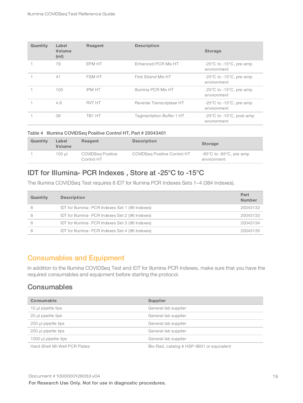| Quantity | Label<br>Volume<br>(m <sub>l</sub> ) | Reagent       | <b>Description</b>       | <b>Storage</b>                                              |
|----------|--------------------------------------|---------------|--------------------------|-------------------------------------------------------------|
|          | 79                                   | EPM HT        | Enhanced PCR Mix HT      | $-25^{\circ}$ C to $-15^{\circ}$ C, pre-amp<br>environment  |
|          | 41                                   | <b>FSM HT</b> | First Strand Mix HT      | $-25^{\circ}$ C to $-15^{\circ}$ C, pre-amp<br>environment  |
|          | 100                                  | <b>IPM HT</b> | Illumina PCR Mix HT      | $-25^{\circ}$ C to $-15^{\circ}$ C, pre-amp<br>environment  |
|          | 4.6                                  | <b>RVT HT</b> | Reverse Transcriptase HT | $-25^{\circ}$ C to $-15^{\circ}$ C, pre-amp<br>environment  |
|          | 38                                   | TB1 HT        | Tagmentation Buffer 1 HT | $-25^{\circ}$ C to $-15^{\circ}$ C, post-amp<br>environment |

#### Table 4 Illumina COVIDSeq Positive Control HT, Part # 20043401

| Quantity | Label<br>Volume | Reagent                         | <b>Description</b>                  | <b>Storage</b>                                             |
|----------|-----------------|---------------------------------|-------------------------------------|------------------------------------------------------------|
|          | 100 ul          | COVIDSeg Positive<br>Control HT | <b>COVIDSeg Positive Control HT</b> | $-85^{\circ}$ C to $-65^{\circ}$ C, pre-amp<br>environment |

## IDT for Illumina- PCR Indexes , Store at -25°C to -15°C

The Illumina COVIDSeq Test requires 8 IDT for Illumina PCR Indexes Sets 1–4 (384 Indexes).

| Quantity | <b>Description</b>                               | Part<br><b>Number</b> |
|----------|--------------------------------------------------|-----------------------|
|          | IDT for Illumina- PCR Indexes Set 1 (96 Indexes) | 20043132              |
|          | IDT for Illumina- PCR Indexes Set 2 (96 Indexes) | 20043133              |
| 8        | IDT for Illumina- PCR Indexes Set 3 (96 Indexes) | 20043134              |
|          | IDT for Illumina- PCR Indexes Set 4 (96 Indexes) | 20043135              |

### <span id="page-22-0"></span>Consumables and Equipment

In addition to the Illumina COVIDSeq Test and IDT for Illumina-PCR Indexes, make sure that you have the required consumables and equipment before starting the protocol.

### **Consumables**

| Consumable                    | Supplier                                  |
|-------------------------------|-------------------------------------------|
| 10 µl pipette tips            | General lab supplier                      |
| 20 µl pipette tips            | General lab supplier                      |
| 200 µl pipette tips           | General lab supplier                      |
| 200 µl pipette tips           | General lab supplier                      |
| 1000 µl pipette tips          | General lab supplier                      |
| Hard-Shell 96-Well PCR Plates | Bio-Rad, catalog # HSP-9601 or equivalent |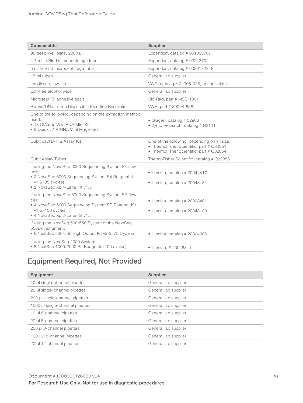| Consumable                                                                                                                                                               | Supplier                                                                                                                             |
|--------------------------------------------------------------------------------------------------------------------------------------------------------------------------|--------------------------------------------------------------------------------------------------------------------------------------|
| 96 deep-well plate, 2000 µl                                                                                                                                              | Eppendorf, catalog #951033707                                                                                                        |
| 1.7 ml LoBind microcentrifuge tubes                                                                                                                                      | Eppendorf, catalog # 022431021                                                                                                       |
| 5 ml LoBind microcentrifuge tube                                                                                                                                         | Eppendorf, catalog # 0030122348                                                                                                      |
| 15 ml tubes                                                                                                                                                              | General lab supplier                                                                                                                 |
| Lab tissue, low-lint                                                                                                                                                     | VWR, catalog # 21905-026, or equivalent                                                                                              |
| Lint-free alcohol wipe                                                                                                                                                   | General lab supplier                                                                                                                 |
| Microseal 'B' adhesive seals                                                                                                                                             | Bio-Rad, part # MSB-1001                                                                                                             |
| RNase/DNase-free Disposable Pipetting Resovoirs                                                                                                                          | WWR, part #89094-658                                                                                                                 |
| One of the following, depending on the extraction method<br>used:<br>• 13 QIAamp Viral RNA Mini Kit<br>• 8 Quick DNA/RNA Viral MagBead                                   | · Qiagen, catalog # 52906<br>• Zymo Research, catalog # R2141                                                                        |
| Qubit dsDNA HS Assay Kit                                                                                                                                                 | One of the following, depending on kit size:<br>• ThermoFisher Scientific, part # Q32851<br>• ThermoFisher Scientific, part # Q32854 |
| <b>Qubit Assay Tubes</b>                                                                                                                                                 | ThermoFisher Scientific, catalog # Q32856                                                                                            |
| If using the NovaSeq 6000 Sequencing System S4 flow<br>cell:<br>• 2 NovaSeq 6000 Sequencing System S4 Reagent Kit<br>v1.5 (35 cycles)<br>• 2 NovaSeq Xp 4-Lane Kit v1.5  | · Illumina, catalog # 20044417<br>$\bullet$ Illumina, catalog # 20043131                                                             |
| If using the NovaSeq 6000 Sequencing System SP flow<br>cell:<br>• 4 NovaSeq 6000 Sequencing System SP Reagent Kit<br>v1.5 (100 cycles)<br>• 4 NovaSeg Xp 2-Lane Kit v1.5 | · Illumina, catalog # 20028401<br>$\bullet$ Illumina, catalog # 20043130                                                             |
| If using the NextSeq 500/550 System or the NextSeq<br>550Dx instrument:<br>• 8 NextSeq 500/550 High Output Kit v2.5 (75 Cycles)                                          | $\bullet$ Illumina, catalog # 20024906                                                                                               |
| If using the NextSeq 2000 System<br>• 8 NextSeq 1000/2000 P2 Reagents (100 cycles)                                                                                       | • Illumina, #20046811                                                                                                                |

# Equipment Required, Not Provided

| Equipment                       | Supplier             |
|---------------------------------|----------------------|
| 10 µl single-channel pipettes   | General lab supplier |
| 20 µl single-channel pipettes   | General lab supplier |
| 200 µl single-channel pipettes  | General lab supplier |
| 1000 µl single-channel pipettes | General lab supplier |
| 10 µl 8-channel pipettes        | General lab supplier |
| 20 µl 8-channel pipettes        | General lab supplier |
| 200 µl 8-channel pipettes       | General lab supplier |
| 1000 µl 8-channel pipettes      | General lab supplier |
| 20 µl 12-channel pipettes       | General lab supplier |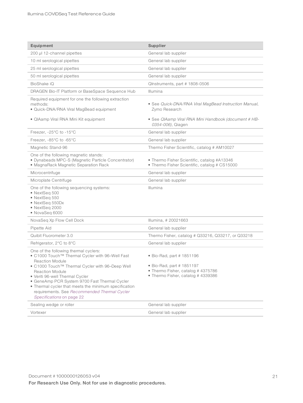| Equipment                                                                                                                                                                                                                                                                                                                                                                                                                 | Supplier                                                                                                                         |
|---------------------------------------------------------------------------------------------------------------------------------------------------------------------------------------------------------------------------------------------------------------------------------------------------------------------------------------------------------------------------------------------------------------------------|----------------------------------------------------------------------------------------------------------------------------------|
| 200 µl 12-channel pipettes                                                                                                                                                                                                                                                                                                                                                                                                | General lab supplier                                                                                                             |
| 10 ml serological pipettes                                                                                                                                                                                                                                                                                                                                                                                                | General lab supplier                                                                                                             |
| 25 ml serological pipettes                                                                                                                                                                                                                                                                                                                                                                                                | General lab supplier                                                                                                             |
| 50 ml serological pipettes                                                                                                                                                                                                                                                                                                                                                                                                | General lab supplier                                                                                                             |
| BioShake iQ                                                                                                                                                                                                                                                                                                                                                                                                               | QInstruments, part # 1808-0506                                                                                                   |
| DRAGEN Bio-IT Platform or BaseSpace Sequence Hub                                                                                                                                                                                                                                                                                                                                                                          | Illumina                                                                                                                         |
| Required equipment for one the following extraction<br>methods:<br>· Quick-DNA/RNA Viral MagBead equipment<br>• QIAamp Viral RNA Mini Kit equipment                                                                                                                                                                                                                                                                       | • See Quick-DNA/RNA Viral MagBead Instruction Manual,<br>Zymo Research<br>• See QIAamp Viral RNA Mini Handbook (document # HB-   |
|                                                                                                                                                                                                                                                                                                                                                                                                                           | 0354-006), Qiagen                                                                                                                |
| Freezer, -25°C to -15°C                                                                                                                                                                                                                                                                                                                                                                                                   | General lab supplier                                                                                                             |
| Freezer, $-85^{\circ}$ C to $-65^{\circ}$ C                                                                                                                                                                                                                                                                                                                                                                               | General lab supplier                                                                                                             |
| Magnetic Stand-96                                                                                                                                                                                                                                                                                                                                                                                                         | Thermo Fisher Scientific, catalog # AM10027                                                                                      |
| One of the following magnetic stands:<br>· Dynabeads MPC-S (Magnetic Particle Concentrator)<br>· MagnaRack Magnetic Separation Rack                                                                                                                                                                                                                                                                                       | • Thermo Fisher Scientific, catalog #A13346<br>• Thermo Fisher Scientific, catalog # CS15000                                     |
| Microcentrifuge                                                                                                                                                                                                                                                                                                                                                                                                           | General lab supplier                                                                                                             |
| Microplate Centrifuge                                                                                                                                                                                                                                                                                                                                                                                                     | General lab supplier                                                                                                             |
| One of the following sequencing systems:<br>• NextSeq 500<br>· NextSeq 550<br>• NextSeq 550Dx<br>• NextSeq 2000<br>• NovaSeq 6000                                                                                                                                                                                                                                                                                         | Illumina                                                                                                                         |
| NovaSeq Xp Flow Cell Dock                                                                                                                                                                                                                                                                                                                                                                                                 | Illumina, #20021663                                                                                                              |
| Pipette Aid                                                                                                                                                                                                                                                                                                                                                                                                               | General lab supplier                                                                                                             |
| Quibit Fluorometer 3.0                                                                                                                                                                                                                                                                                                                                                                                                    | Thermo Fisher, catalog # Q33216, Q33217, or Q33218                                                                               |
| Refrigerator, 2°C to 8°C                                                                                                                                                                                                                                                                                                                                                                                                  | General lab supplier                                                                                                             |
| One of the following thermal cyclers:<br>• C1000 Touch™ Thermal Cycler with 96-Well Fast<br><b>Reaction Module</b><br>• C1000 Touch™ Thermal Cycler with 96-Deep Well<br><b>Reaction Module</b><br>· Veriti 96-well Thermal Cycler<br>• GeneAmp PCR System 9700 Fast Thermal Cycler<br>• Thermal cycler that meets the minimum specification<br>requirements. See Recommended Thermal Cycler<br>Specifications on page 22 | • Bio-Rad, part # 1851196<br>• Bio-Rad, part # 1851197<br>• Thermo Fisher, catalog #4375786<br>• Thermo Fisher, catalog #4339386 |
| Sealing wedge or roller                                                                                                                                                                                                                                                                                                                                                                                                   | General lab supplier                                                                                                             |
| Vortexer                                                                                                                                                                                                                                                                                                                                                                                                                  | General lab supplier                                                                                                             |